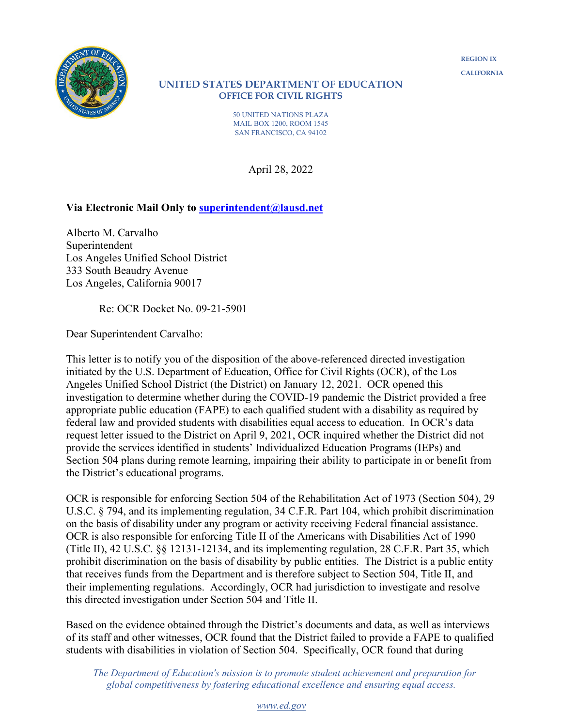#### **UNITED STATES DEPARTMENT OF EDUCATION OFFICE FOR CIVIL RIGHTS**

50 UNITED NATIONS PLAZA MAIL BOX 1200, ROOM 1545 SAN FRANCISCO, CA 94102

April 28, 2022

## **Via Electronic Mail Only to [superintendent@lausd.net](mailto:superintendent@lausd.net)**

Alberto M. Carvalho Superintendent Los Angeles Unified School District 333 South Beaudry Avenue Los Angeles, California 90017

Re: OCR Docket No. 09-21-5901

Dear Superintendent Carvalho:

This letter is to notify you of the disposition of the above-referenced directed investigation initiated by the U.S. Department of Education, Office for Civil Rights (OCR), of the Los Angeles Unified School District (the District) on January 12, 2021. OCR opened this investigation to determine whether during the COVID-19 pandemic the District provided a free appropriate public education (FAPE) to each qualified student with a disability as required by federal law and provided students with disabilities equal access to education. In OCR's data request letter issued to the District on April 9, 2021, OCR inquired whether the District did not provide the services identified in students' Individualized Education Programs (IEPs) and Section 504 plans during remote learning, impairing their ability to participate in or benefit from the District's educational programs.

OCR is responsible for enforcing Section 504 of the Rehabilitation Act of 1973 (Section 504), 29 U.S.C. § 794, and its implementing regulation, 34 C.F.R. Part 104, which prohibit discrimination on the basis of disability under any program or activity receiving Federal financial assistance. OCR is also responsible for enforcing Title II of the Americans with Disabilities Act of 1990 (Title II), 42 U.S.C. §§ 12131-12134, and its implementing regulation, 28 C.F.R. Part 35, which prohibit discrimination on the basis of disability by public entities. The District is a public entity that receives funds from the Department and is therefore subject to Section 504, Title II, and their implementing regulations. Accordingly, OCR had jurisdiction to investigate and resolve this directed investigation under Section 504 and Title II.

Based on the evidence obtained through the District's documents and data, as well as interviews of its staff and other witnesses, OCR found that the District failed to provide a FAPE to qualified students with disabilities in violation of Section 504. Specifically, OCR found that during

 *The Department of Education's mission is to promote student achievement and preparation for global competitiveness by fostering educational excellence and ensuring equal access.*

*[www.ed.gov](http://www.ed.gov/)*

**REGION IX CALIFORNIA**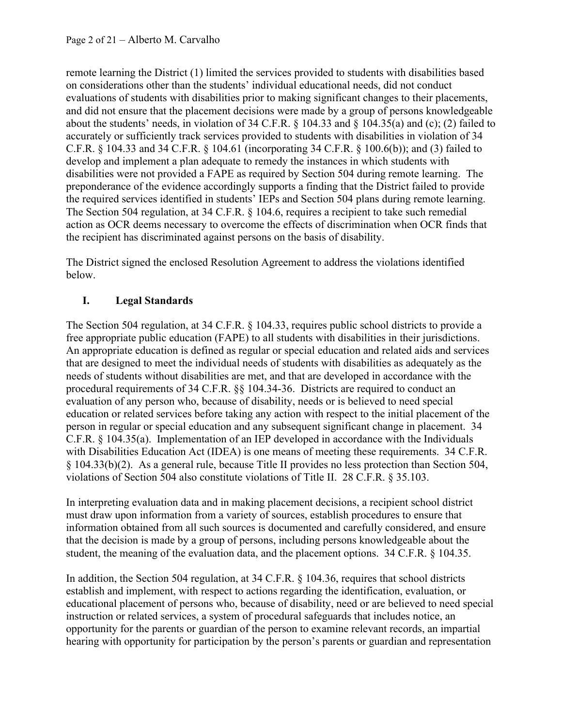remote learning the District (1) limited the services provided to students with disabilities based on considerations other than the students' individual educational needs, did not conduct evaluations of students with disabilities prior to making significant changes to their placements, and did not ensure that the placement decisions were made by a group of persons knowledgeable about the students' needs, in violation of 34 C.F.R. § 104.33 and § 104.35(a) and (c); (2) failed to accurately or sufficiently track services provided to students with disabilities in violation of 34 C.F.R. § 104.33 and 34 C.F.R. § 104.61 (incorporating 34 C.F.R. § 100.6(b)); and (3) failed to develop and implement a plan adequate to remedy the instances in which students with disabilities were not provided a FAPE as required by Section 504 during remote learning. The preponderance of the evidence accordingly supports a finding that the District failed to provide the required services identified in students' IEPs and Section 504 plans during remote learning. The Section 504 regulation, at 34 C.F.R. § 104.6, requires a recipient to take such remedial action as OCR deems necessary to overcome the effects of discrimination when OCR finds that the recipient has discriminated against persons on the basis of disability.

The District signed the enclosed Resolution Agreement to address the violations identified below.

# **I. Legal Standards**

The Section 504 regulation, at 34 C.F.R. § 104.33, requires public school districts to provide a free appropriate public education (FAPE) to all students with disabilities in their jurisdictions. An appropriate education is defined as regular or special education and related aids and services that are designed to meet the individual needs of students with disabilities as adequately as the needs of students without disabilities are met, and that are developed in accordance with the procedural requirements of 34 C.F.R. §§ 104.34-36. Districts are required to conduct an evaluation of any person who, because of disability, needs or is believed to need special education or related services before taking any action with respect to the initial placement of the person in regular or special education and any subsequent significant change in placement. 34 C.F.R. § 104.35(a). Implementation of an IEP developed in accordance with the Individuals with Disabilities Education Act (IDEA) is one means of meeting these requirements. 34 C.F.R. § 104.33(b)(2). As a general rule, because Title II provides no less protection than Section 504, violations of Section 504 also constitute violations of Title II. 28 C.F.R. § 35.103.

In interpreting evaluation data and in making placement decisions, a recipient school district must draw upon information from a variety of sources, establish procedures to ensure that information obtained from all such sources is documented and carefully considered, and ensure that the decision is made by a group of persons, including persons knowledgeable about the student, the meaning of the evaluation data, and the placement options. 34 C.F.R. § 104.35.

In addition, the Section 504 regulation, at 34 C.F.R. § 104.36, requires that school districts establish and implement, with respect to actions regarding the identification, evaluation, or educational placement of persons who, because of disability, need or are believed to need special instruction or related services, a system of procedural safeguards that includes notice, an opportunity for the parents or guardian of the person to examine relevant records, an impartial hearing with opportunity for participation by the person's parents or guardian and representation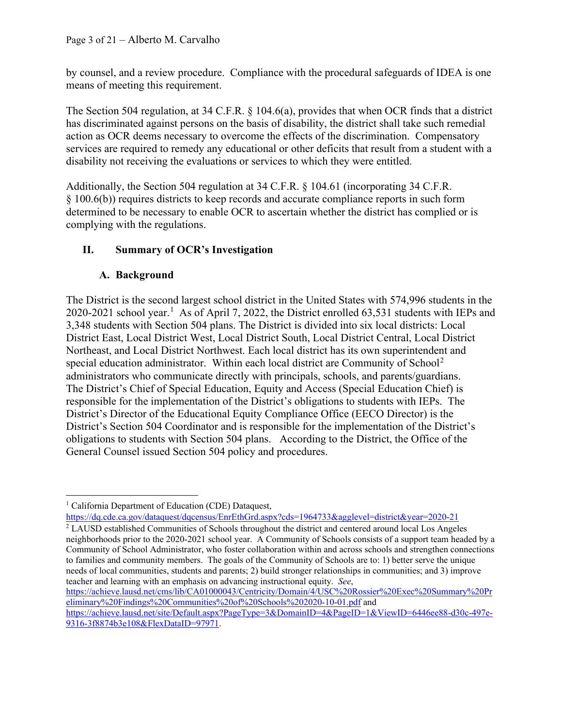by counsel, and a review procedure. Compliance with the procedural safeguards of IDEA is one means of meeting this requirement.

The Section 504 regulation, at 34 C.F.R. § 104.6(a), provides that when OCR finds that a district has discriminated against persons on the basis of disability, the district shall take such remedial action as OCR deems necessary to overcome the effects of the discrimination. Compensatory services are required to remedy any educational or other deficits that result from a student with a disability not receiving the evaluations or services to which they were entitled.

Additionally, the Section 504 regulation at 34 C.F.R. § 104.61 (incorporating 34 C.F.R. § 100.6(b)) requires districts to keep records and accurate compliance reports in such form determined to be necessary to enable OCR to ascertain whether the district has complied or is complying with the regulations.

## **II. Summary of OCR's Investigation**

## **A. Background**

The District is the second largest school district in the United States with 574,996 students in the 2020-202[1](#page-2-0) school year.<sup>1</sup> As of April 7, 2022, the District enrolled 63,531 students with IEPs and 3,348 students with Section 504 plans. The District is divided into six local districts: Local District East, Local District West, Local District South, Local District Central, Local District Northeast, and Local District Northwest. Each local district has its own superintendent and special education administrator. Within each local district are Community of School<sup>[2](#page-2-1)</sup> administrators who communicate directly with principals, schools, and parents/guardians. The District's Chief of Special Education, Equity and Access (Special Education Chief) is responsible for the implementation of the District's obligations to students with IEPs. The District's Director of the Educational Equity Compliance Office (EECO Director) is the District's Section 504 Coordinator and is responsible for the implementation of the District's obligations to students with Section 504 plans. According to the District, the Office of the General Counsel issued Section 504 policy and procedures.

[https://achieve.lausd.net/cms/lib/CA01000043/Centricity/Domain/4/USC%20Rossier%20Exec%20Summary%20Pr](https://achieve.lausd.net/cms/lib/CA01000043/Centricity/Domain/4/USC%20Rossier%20Exec%20Summary%20Preliminary%20Findings%20Communities%20of%20Schools%202020-10-01.pdf) [eliminary%20Findings%20Communities%20of%20Schools%202020-10-01.pdf](https://achieve.lausd.net/cms/lib/CA01000043/Centricity/Domain/4/USC%20Rossier%20Exec%20Summary%20Preliminary%20Findings%20Communities%20of%20Schools%202020-10-01.pdf) and

<span id="page-2-0"></span><sup>&</sup>lt;sup>1</sup> California Department of Education (CDE) Dataquest,

<https://dq.cde.ca.gov/dataquest/dqcensus/EnrEthGrd.aspx?cds=1964733&agglevel=district&year=2020-21> <sup>2</sup> LAUSD established Communities of Schools throughout the district and centered around local Los Angeles

<span id="page-2-1"></span>neighborhoods prior to the 2020-2021 school year. A Community of Schools consists of a support team headed by a Community of School Administrator, who foster collaboration within and across schools and strengthen connections to families and community members. The goals of the Community of Schools are to: 1) better serve the unique needs of local communities, students and parents; 2) build stronger relationships in communities; and 3) improve teacher and learning with an emphasis on advancing instructional equity. *See*,

[https://achieve.lausd.net/site/Default.aspx?PageType=3&DomainID=4&PageID=1&ViewID=6446ee88-d30c-497e-](https://achieve.lausd.net/site/Default.aspx?PageType=3&DomainID=4&PageID=1&ViewID=6446ee88-d30c-497e-9316-3f8874b3e108&FlexDataID=97971)[9316-3f8874b3e108&FlexDataID=97971.](https://achieve.lausd.net/site/Default.aspx?PageType=3&DomainID=4&PageID=1&ViewID=6446ee88-d30c-497e-9316-3f8874b3e108&FlexDataID=97971)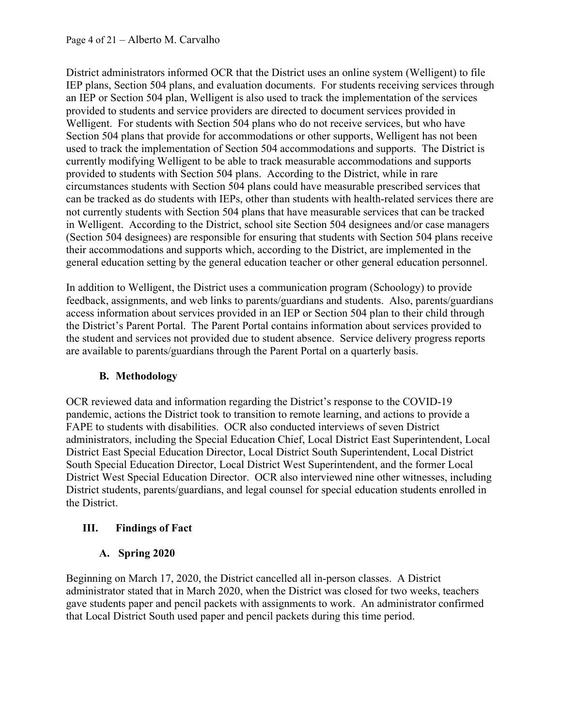District administrators informed OCR that the District uses an online system (Welligent) to file IEP plans, Section 504 plans, and evaluation documents. For students receiving services through an IEP or Section 504 plan, Welligent is also used to track the implementation of the services provided to students and service providers are directed to document services provided in Welligent. For students with Section 504 plans who do not receive services, but who have Section 504 plans that provide for accommodations or other supports, Welligent has not been used to track the implementation of Section 504 accommodations and supports. The District is currently modifying Welligent to be able to track measurable accommodations and supports provided to students with Section 504 plans. According to the District, while in rare circumstances students with Section 504 plans could have measurable prescribed services that can be tracked as do students with IEPs, other than students with health-related services there are not currently students with Section 504 plans that have measurable services that can be tracked in Welligent. According to the District, school site Section 504 designees and/or case managers (Section 504 designees) are responsible for ensuring that students with Section 504 plans receive their accommodations and supports which, according to the District, are implemented in the general education setting by the general education teacher or other general education personnel.

In addition to Welligent, the District uses a communication program (Schoology) to provide feedback, assignments, and web links to parents/guardians and students. Also, parents/guardians access information about services provided in an IEP or Section 504 plan to their child through the District's Parent Portal. The Parent Portal contains information about services provided to the student and services not provided due to student absence. Service delivery progress reports are available to parents/guardians through the Parent Portal on a quarterly basis.

## **B. Methodology**

OCR reviewed data and information regarding the District's response to the COVID-19 pandemic, actions the District took to transition to remote learning, and actions to provide a FAPE to students with disabilities. OCR also conducted interviews of seven District administrators, including the Special Education Chief, Local District East Superintendent, Local District East Special Education Director, Local District South Superintendent, Local District South Special Education Director, Local District West Superintendent, and the former Local District West Special Education Director. OCR also interviewed nine other witnesses, including District students, parents/guardians, and legal counsel for special education students enrolled in the District.

# **III. Findings of Fact**

## **A. Spring 2020**

Beginning on March 17, 2020, the District cancelled all in-person classes. A District administrator stated that in March 2020, when the District was closed for two weeks, teachers gave students paper and pencil packets with assignments to work. An administrator confirmed that Local District South used paper and pencil packets during this time period.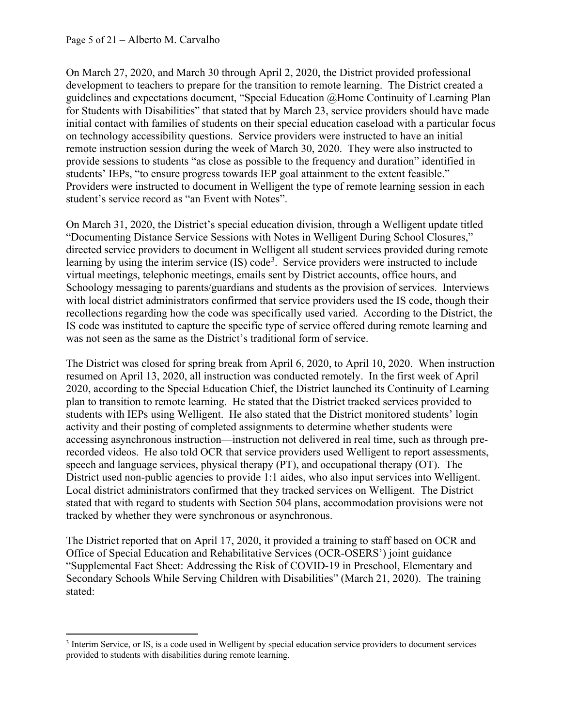On March 27, 2020, and March 30 through April 2, 2020, the District provided professional development to teachers to prepare for the transition to remote learning. The District created a guidelines and expectations document, "Special Education @Home Continuity of Learning Plan for Students with Disabilities" that stated that by March 23, service providers should have made initial contact with families of students on their special education caseload with a particular focus on technology accessibility questions. Service providers were instructed to have an initial remote instruction session during the week of March 30, 2020. They were also instructed to provide sessions to students "as close as possible to the frequency and duration" identified in students' IEPs, "to ensure progress towards IEP goal attainment to the extent feasible." Providers were instructed to document in Welligent the type of remote learning session in each student's service record as "an Event with Notes".

On March 31, 2020, the District's special education division, through a Welligent update titled "Documenting Distance Service Sessions with Notes in Welligent During School Closures," directed service providers to document in Welligent all student services provided during remote learning by using the interim service (IS) code<sup>[3](#page-4-0)</sup>. Service providers were instructed to include virtual meetings, telephonic meetings, emails sent by District accounts, office hours, and Schoology messaging to parents/guardians and students as the provision of services. Interviews with local district administrators confirmed that service providers used the IS code, though their recollections regarding how the code was specifically used varied. According to the District, the IS code was instituted to capture the specific type of service offered during remote learning and was not seen as the same as the District's traditional form of service.

The District was closed for spring break from April 6, 2020, to April 10, 2020. When instruction resumed on April 13, 2020, all instruction was conducted remotely. In the first week of April 2020, according to the Special Education Chief, the District launched its Continuity of Learning plan to transition to remote learning. He stated that the District tracked services provided to students with IEPs using Welligent. He also stated that the District monitored students' login activity and their posting of completed assignments to determine whether students were accessing asynchronous instruction—instruction not delivered in real time, such as through prerecorded videos. He also told OCR that service providers used Welligent to report assessments, speech and language services, physical therapy (PT), and occupational therapy (OT). The District used non-public agencies to provide 1:1 aides, who also input services into Welligent. Local district administrators confirmed that they tracked services on Welligent. The District stated that with regard to students with Section 504 plans, accommodation provisions were not tracked by whether they were synchronous or asynchronous.

The District reported that on April 17, 2020, it provided a training to staff based on OCR and Office of Special Education and Rehabilitative Services (OCR-OSERS') joint guidance "Supplemental Fact Sheet: Addressing the Risk of COVID-19 in Preschool, Elementary and Secondary Schools While Serving Children with Disabilities" (March 21, 2020). The training stated:

<span id="page-4-0"></span><sup>&</sup>lt;sup>3</sup> Interim Service, or IS, is a code used in Welligent by special education service providers to document services provided to students with disabilities during remote learning.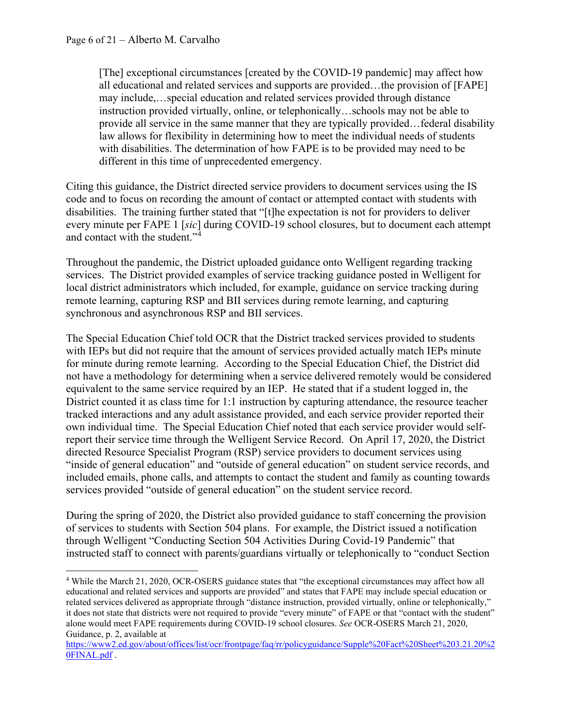[The] exceptional circumstances [created by the COVID-19 pandemic] may affect how all educational and related services and supports are provided…the provision of [FAPE] may include,…special education and related services provided through distance instruction provided virtually, online, or telephonically…schools may not be able to provide all service in the same manner that they are typically provided…federal disability law allows for flexibility in determining how to meet the individual needs of students with disabilities. The determination of how FAPE is to be provided may need to be different in this time of unprecedented emergency.

Citing this guidance, the District directed service providers to document services using the IS code and to focus on recording the amount of contact or attempted contact with students with disabilities. The training further stated that "[t]he expectation is not for providers to deliver every minute per FAPE 1 [*sic*] during COVID-19 school closures, but to document each attempt and contact with the student."[4](#page-5-0)

Throughout the pandemic, the District uploaded guidance onto Welligent regarding tracking services. The District provided examples of service tracking guidance posted in Welligent for local district administrators which included, for example, guidance on service tracking during remote learning, capturing RSP and BII services during remote learning, and capturing synchronous and asynchronous RSP and BII services.

The Special Education Chief told OCR that the District tracked services provided to students with IEPs but did not require that the amount of services provided actually match IEPs minute for minute during remote learning. According to the Special Education Chief, the District did not have a methodology for determining when a service delivered remotely would be considered equivalent to the same service required by an IEP. He stated that if a student logged in, the District counted it as class time for 1:1 instruction by capturing attendance, the resource teacher tracked interactions and any adult assistance provided, and each service provider reported their own individual time. The Special Education Chief noted that each service provider would selfreport their service time through the Welligent Service Record. On April 17, 2020, the District directed Resource Specialist Program (RSP) service providers to document services using "inside of general education" and "outside of general education" on student service records, and included emails, phone calls, and attempts to contact the student and family as counting towards services provided "outside of general education" on the student service record.

During the spring of 2020, the District also provided guidance to staff concerning the provision of services to students with Section 504 plans. For example, the District issued a notification through Welligent "Conducting Section 504 Activities During Covid-19 Pandemic" that instructed staff to connect with parents/guardians virtually or telephonically to "conduct Section

<span id="page-5-0"></span><sup>4</sup> While the March 21, 2020, OCR-OSERS guidance states that "the exceptional circumstances may affect how all educational and related services and supports are provided" and states that FAPE may include special education or related services delivered as appropriate through "distance instruction, provided virtually, online or telephonically," it does not state that districts were not required to provide "every minute" of FAPE or that "contact with the student" alone would meet FAPE requirements during COVID-19 school closures. *See* OCR-OSERS March 21, 2020, Guidance, p. 2, available at

[https://www2.ed.gov/about/offices/list/ocr/frontpage/faq/rr/policyguidance/Supple%20Fact%20Sheet%203.21.20%2](https://www2.ed.gov/about/offices/list/ocr/frontpage/faq/rr/policyguidance/Supple%20Fact%20Sheet%203.21.20%20FINAL.pdf) [0FINAL.pdf](https://www2.ed.gov/about/offices/list/ocr/frontpage/faq/rr/policyguidance/Supple%20Fact%20Sheet%203.21.20%20FINAL.pdf) .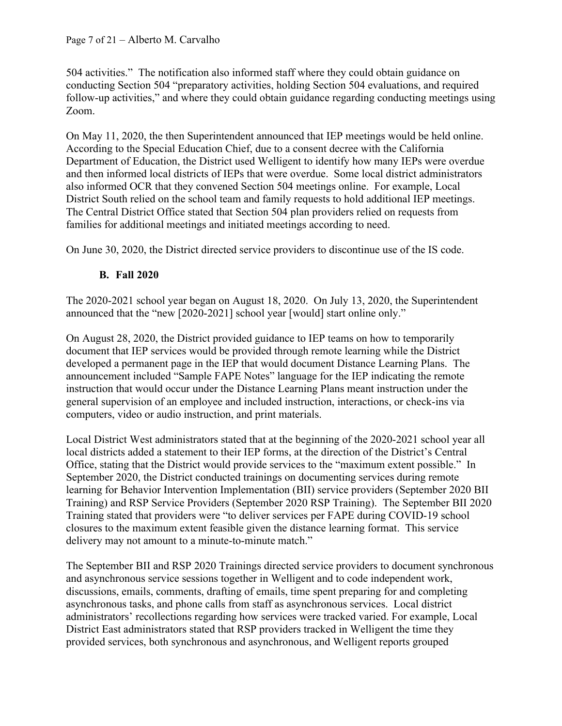504 activities." The notification also informed staff where they could obtain guidance on conducting Section 504 "preparatory activities, holding Section 504 evaluations, and required follow-up activities," and where they could obtain guidance regarding conducting meetings using Zoom.

On May 11, 2020, the then Superintendent announced that IEP meetings would be held online. According to the Special Education Chief, due to a consent decree with the California Department of Education, the District used Welligent to identify how many IEPs were overdue and then informed local districts of IEPs that were overdue. Some local district administrators also informed OCR that they convened Section 504 meetings online. For example, Local District South relied on the school team and family requests to hold additional IEP meetings. The Central District Office stated that Section 504 plan providers relied on requests from families for additional meetings and initiated meetings according to need.

On June 30, 2020, the District directed service providers to discontinue use of the IS code.

## **B. Fall 2020**

The 2020-2021 school year began on August 18, 2020. On July 13, 2020, the Superintendent announced that the "new [2020-2021] school year [would] start online only."

On August 28, 2020, the District provided guidance to IEP teams on how to temporarily document that IEP services would be provided through remote learning while the District developed a permanent page in the IEP that would document Distance Learning Plans. The announcement included "Sample FAPE Notes" language for the IEP indicating the remote instruction that would occur under the Distance Learning Plans meant instruction under the general supervision of an employee and included instruction, interactions, or check-ins via computers, video or audio instruction, and print materials.

Local District West administrators stated that at the beginning of the 2020-2021 school year all local districts added a statement to their IEP forms, at the direction of the District's Central Office, stating that the District would provide services to the "maximum extent possible." In September 2020, the District conducted trainings on documenting services during remote learning for Behavior Intervention Implementation (BII) service providers (September 2020 BII Training) and RSP Service Providers (September 2020 RSP Training). The September BII 2020 Training stated that providers were "to deliver services per FAPE during COVID-19 school closures to the maximum extent feasible given the distance learning format. This service delivery may not amount to a minute-to-minute match."

The September BII and RSP 2020 Trainings directed service providers to document synchronous and asynchronous service sessions together in Welligent and to code independent work, discussions, emails, comments, drafting of emails, time spent preparing for and completing asynchronous tasks, and phone calls from staff as asynchronous services. Local district administrators' recollections regarding how services were tracked varied. For example, Local District East administrators stated that RSP providers tracked in Welligent the time they provided services, both synchronous and asynchronous, and Welligent reports grouped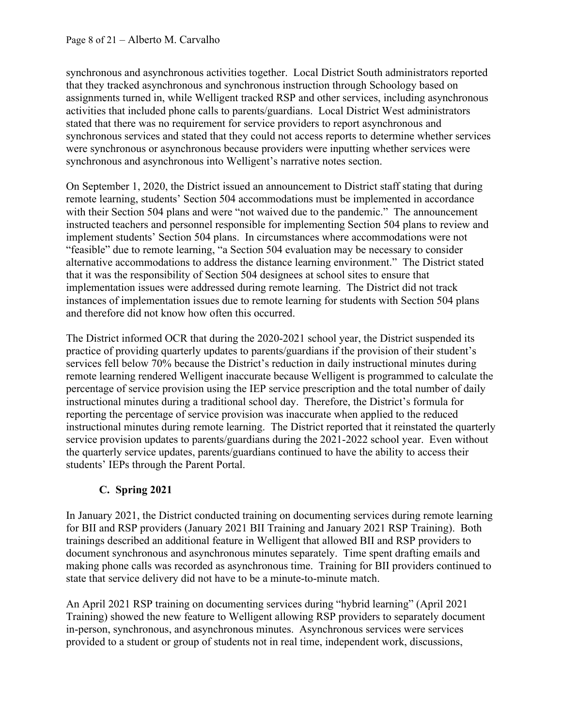synchronous and asynchronous activities together. Local District South administrators reported that they tracked asynchronous and synchronous instruction through Schoology based on assignments turned in, while Welligent tracked RSP and other services, including asynchronous activities that included phone calls to parents/guardians. Local District West administrators stated that there was no requirement for service providers to report asynchronous and synchronous services and stated that they could not access reports to determine whether services were synchronous or asynchronous because providers were inputting whether services were synchronous and asynchronous into Welligent's narrative notes section.

On September 1, 2020, the District issued an announcement to District staff stating that during remote learning, students' Section 504 accommodations must be implemented in accordance with their Section 504 plans and were "not waived due to the pandemic." The announcement instructed teachers and personnel responsible for implementing Section 504 plans to review and implement students' Section 504 plans. In circumstances where accommodations were not "feasible" due to remote learning, "a Section 504 evaluation may be necessary to consider alternative accommodations to address the distance learning environment." The District stated that it was the responsibility of Section 504 designees at school sites to ensure that implementation issues were addressed during remote learning. The District did not track instances of implementation issues due to remote learning for students with Section 504 plans and therefore did not know how often this occurred.

The District informed OCR that during the 2020-2021 school year, the District suspended its practice of providing quarterly updates to parents/guardians if the provision of their student's services fell below 70% because the District's reduction in daily instructional minutes during remote learning rendered Welligent inaccurate because Welligent is programmed to calculate the percentage of service provision using the IEP service prescription and the total number of daily instructional minutes during a traditional school day. Therefore, the District's formula for reporting the percentage of service provision was inaccurate when applied to the reduced instructional minutes during remote learning. The District reported that it reinstated the quarterly service provision updates to parents/guardians during the 2021-2022 school year. Even without the quarterly service updates, parents/guardians continued to have the ability to access their students' IEPs through the Parent Portal.

# **C. Spring 2021**

In January 2021, the District conducted training on documenting services during remote learning for BII and RSP providers (January 2021 BII Training and January 2021 RSP Training). Both trainings described an additional feature in Welligent that allowed BII and RSP providers to document synchronous and asynchronous minutes separately. Time spent drafting emails and making phone calls was recorded as asynchronous time. Training for BII providers continued to state that service delivery did not have to be a minute-to-minute match.

An April 2021 RSP training on documenting services during "hybrid learning" (April 2021 Training) showed the new feature to Welligent allowing RSP providers to separately document in-person, synchronous, and asynchronous minutes. Asynchronous services were services provided to a student or group of students not in real time, independent work, discussions,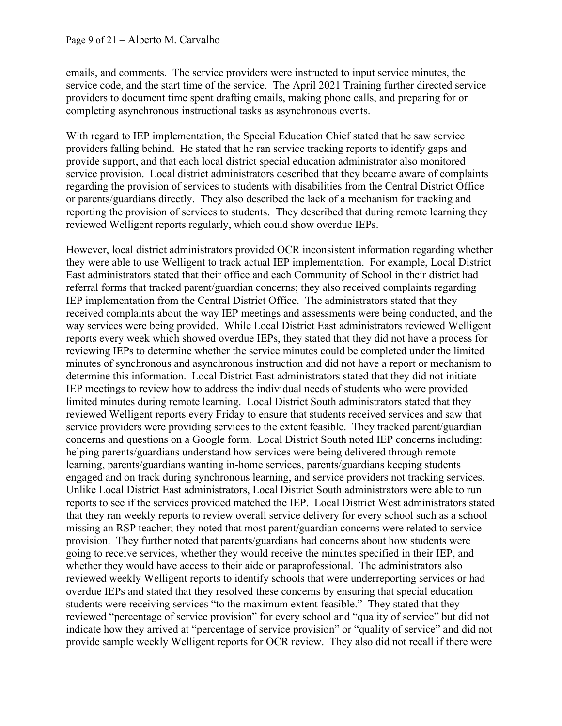emails, and comments. The service providers were instructed to input service minutes, the service code, and the start time of the service. The April 2021 Training further directed service providers to document time spent drafting emails, making phone calls, and preparing for or completing asynchronous instructional tasks as asynchronous events.

With regard to IEP implementation, the Special Education Chief stated that he saw service providers falling behind. He stated that he ran service tracking reports to identify gaps and provide support, and that each local district special education administrator also monitored service provision. Local district administrators described that they became aware of complaints regarding the provision of services to students with disabilities from the Central District Office or parents/guardians directly. They also described the lack of a mechanism for tracking and reporting the provision of services to students. They described that during remote learning they reviewed Welligent reports regularly, which could show overdue IEPs.

However, local district administrators provided OCR inconsistent information regarding whether they were able to use Welligent to track actual IEP implementation. For example, Local District East administrators stated that their office and each Community of School in their district had referral forms that tracked parent/guardian concerns; they also received complaints regarding IEP implementation from the Central District Office. The administrators stated that they received complaints about the way IEP meetings and assessments were being conducted, and the way services were being provided. While Local District East administrators reviewed Welligent reports every week which showed overdue IEPs, they stated that they did not have a process for reviewing IEPs to determine whether the service minutes could be completed under the limited minutes of synchronous and asynchronous instruction and did not have a report or mechanism to determine this information. Local District East administrators stated that they did not initiate IEP meetings to review how to address the individual needs of students who were provided limited minutes during remote learning. Local District South administrators stated that they reviewed Welligent reports every Friday to ensure that students received services and saw that service providers were providing services to the extent feasible. They tracked parent/guardian concerns and questions on a Google form. Local District South noted IEP concerns including: helping parents/guardians understand how services were being delivered through remote learning, parents/guardians wanting in-home services, parents/guardians keeping students engaged and on track during synchronous learning, and service providers not tracking services. Unlike Local District East administrators, Local District South administrators were able to run reports to see if the services provided matched the IEP. Local District West administrators stated that they ran weekly reports to review overall service delivery for every school such as a school missing an RSP teacher; they noted that most parent/guardian concerns were related to service provision. They further noted that parents/guardians had concerns about how students were going to receive services, whether they would receive the minutes specified in their IEP, and whether they would have access to their aide or paraprofessional. The administrators also reviewed weekly Welligent reports to identify schools that were underreporting services or had overdue IEPs and stated that they resolved these concerns by ensuring that special education students were receiving services "to the maximum extent feasible." They stated that they reviewed "percentage of service provision" for every school and "quality of service" but did not indicate how they arrived at "percentage of service provision" or "quality of service" and did not provide sample weekly Welligent reports for OCR review. They also did not recall if there were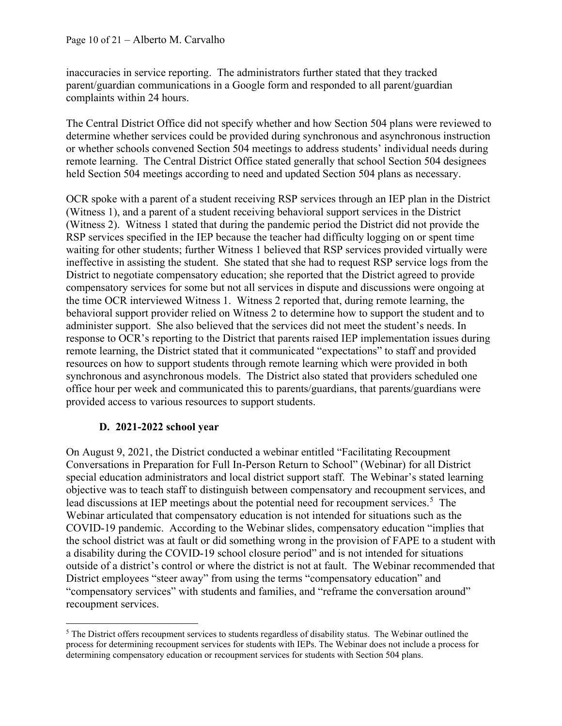inaccuracies in service reporting. The administrators further stated that they tracked parent/guardian communications in a Google form and responded to all parent/guardian complaints within 24 hours.

The Central District Office did not specify whether and how Section 504 plans were reviewed to determine whether services could be provided during synchronous and asynchronous instruction or whether schools convened Section 504 meetings to address students' individual needs during remote learning. The Central District Office stated generally that school Section 504 designees held Section 504 meetings according to need and updated Section 504 plans as necessary.

OCR spoke with a parent of a student receiving RSP services through an IEP plan in the District (Witness 1), and a parent of a student receiving behavioral support services in the District (Witness 2). Witness 1 stated that during the pandemic period the District did not provide the RSP services specified in the IEP because the teacher had difficulty logging on or spent time waiting for other students; further Witness 1 believed that RSP services provided virtually were ineffective in assisting the student. She stated that she had to request RSP service logs from the District to negotiate compensatory education; she reported that the District agreed to provide compensatory services for some but not all services in dispute and discussions were ongoing at the time OCR interviewed Witness 1. Witness 2 reported that, during remote learning, the behavioral support provider relied on Witness 2 to determine how to support the student and to administer support. She also believed that the services did not meet the student's needs. In response to OCR's reporting to the District that parents raised IEP implementation issues during remote learning, the District stated that it communicated "expectations" to staff and provided resources on how to support students through remote learning which were provided in both synchronous and asynchronous models. The District also stated that providers scheduled one office hour per week and communicated this to parents/guardians, that parents/guardians were provided access to various resources to support students.

#### **D. 2021-2022 school year**

On August 9, 2021, the District conducted a webinar entitled "Facilitating Recoupment Conversations in Preparation for Full In-Person Return to School" (Webinar) for all District special education administrators and local district support staff. The Webinar's stated learning objective was to teach staff to distinguish between compensatory and recoupment services, and lead discussions at IEP meetings about the potential need for recoupment services.<sup>[5](#page-9-0)</sup> The Webinar articulated that compensatory education is not intended for situations such as the COVID-19 pandemic. According to the Webinar slides, compensatory education "implies that the school district was at fault or did something wrong in the provision of FAPE to a student with a disability during the COVID-19 school closure period" and is not intended for situations outside of a district's control or where the district is not at fault. The Webinar recommended that District employees "steer away" from using the terms "compensatory education" and "compensatory services" with students and families, and "reframe the conversation around" recoupment services.

<span id="page-9-0"></span><sup>&</sup>lt;sup>5</sup> The District offers recoupment services to students regardless of disability status. The Webinar outlined the process for determining recoupment services for students with IEPs. The Webinar does not include a process for determining compensatory education or recoupment services for students with Section 504 plans.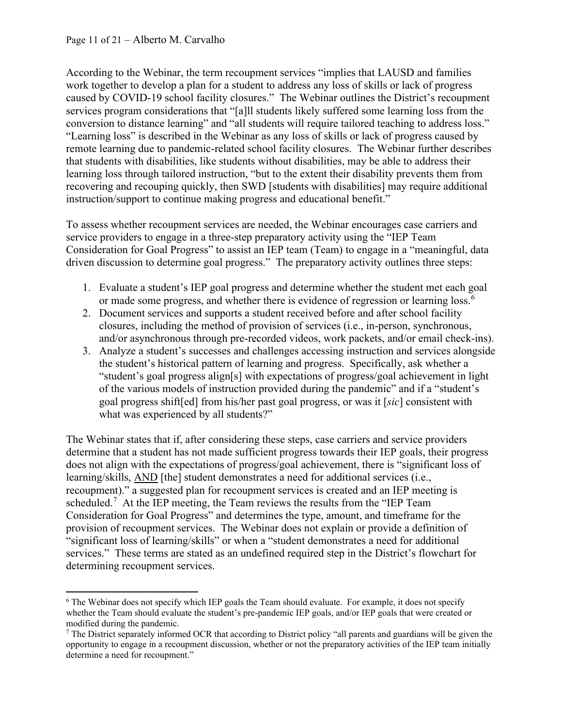According to the Webinar, the term recoupment services "implies that LAUSD and families work together to develop a plan for a student to address any loss of skills or lack of progress caused by COVID-19 school facility closures." The Webinar outlines the District's recoupment services program considerations that "[a]ll students likely suffered some learning loss from the conversion to distance learning" and "all students will require tailored teaching to address loss." "Learning loss" is described in the Webinar as any loss of skills or lack of progress caused by remote learning due to pandemic-related school facility closures. The Webinar further describes that students with disabilities, like students without disabilities, may be able to address their learning loss through tailored instruction, "but to the extent their disability prevents them from recovering and recouping quickly, then SWD [students with disabilities] may require additional instruction/support to continue making progress and educational benefit."

To assess whether recoupment services are needed, the Webinar encourages case carriers and service providers to engage in a three-step preparatory activity using the "IEP Team Consideration for Goal Progress" to assist an IEP team (Team) to engage in a "meaningful, data driven discussion to determine goal progress." The preparatory activity outlines three steps:

- 1. Evaluate a student's IEP goal progress and determine whether the student met each goal or made some progress, and whether there is evidence of regression or learning loss.<sup>[6](#page-10-0)</sup>
- 2. Document services and supports a student received before and after school facility closures, including the method of provision of services (i.e., in-person, synchronous, and/or asynchronous through pre-recorded videos, work packets, and/or email check-ins).
- 3. Analyze a student's successes and challenges accessing instruction and services alongside the student's historical pattern of learning and progress. Specifically, ask whether a "student's goal progress align[s] with expectations of progress/goal achievement in light of the various models of instruction provided during the pandemic" and if a "student's goal progress shift[ed] from his/her past goal progress, or was it [*sic*] consistent with what was experienced by all students?"

The Webinar states that if, after considering these steps, case carriers and service providers determine that a student has not made sufficient progress towards their IEP goals, their progress does not align with the expectations of progress/goal achievement, there is "significant loss of learning/skills, AND [the] student demonstrates a need for additional services (i.e., recoupment)." a suggested plan for recoupment services is created and an IEP meeting is scheduled.<sup>[7](#page-10-1)</sup> At the IEP meeting, the Team reviews the results from the "IEP Team Consideration for Goal Progress" and determines the type, amount, and timeframe for the provision of recoupment services. The Webinar does not explain or provide a definition of "significant loss of learning/skills" or when a "student demonstrates a need for additional services." These terms are stated as an undefined required step in the District's flowchart for determining recoupment services.

<span id="page-10-0"></span> $6$  The Webinar does not specify which IEP goals the Team should evaluate. For example, it does not specify whether the Team should evaluate the student's pre-pandemic IEP goals, and/or IEP goals that were created or modified during the pandemic.

<span id="page-10-1"></span><sup>7</sup> The District separately informed OCR that according to District policy "all parents and guardians will be given the opportunity to engage in a recoupment discussion, whether or not the preparatory activities of the IEP team initially determine a need for recoupment."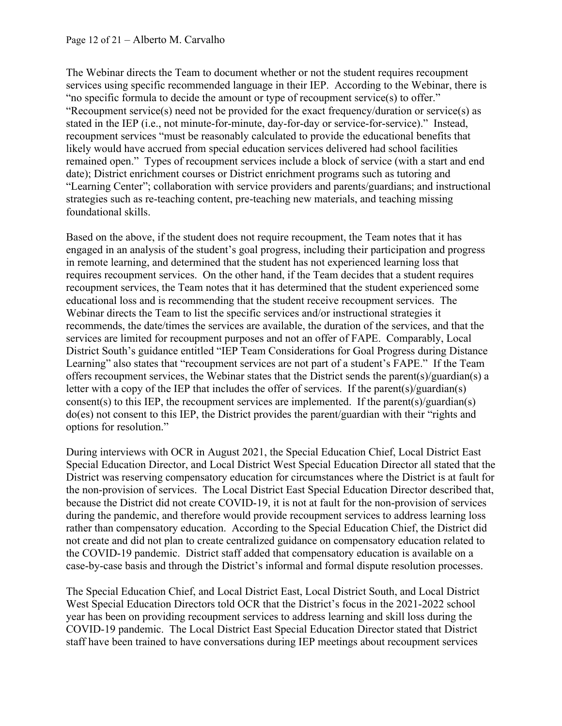The Webinar directs the Team to document whether or not the student requires recoupment services using specific recommended language in their IEP. According to the Webinar, there is "no specific formula to decide the amount or type of recoupment service(s) to offer." "Recoupment service(s) need not be provided for the exact frequency/duration or service(s) as stated in the IEP (i.e., not minute-for-minute, day-for-day or service-for-service)." Instead, recoupment services "must be reasonably calculated to provide the educational benefits that likely would have accrued from special education services delivered had school facilities remained open." Types of recoupment services include a block of service (with a start and end date); District enrichment courses or District enrichment programs such as tutoring and "Learning Center"; collaboration with service providers and parents/guardians; and instructional strategies such as re-teaching content, pre-teaching new materials, and teaching missing foundational skills.

Based on the above, if the student does not require recoupment, the Team notes that it has engaged in an analysis of the student's goal progress, including their participation and progress in remote learning, and determined that the student has not experienced learning loss that requires recoupment services. On the other hand, if the Team decides that a student requires recoupment services, the Team notes that it has determined that the student experienced some educational loss and is recommending that the student receive recoupment services. The Webinar directs the Team to list the specific services and/or instructional strategies it recommends, the date/times the services are available, the duration of the services, and that the services are limited for recoupment purposes and not an offer of FAPE. Comparably, Local District South's guidance entitled "IEP Team Considerations for Goal Progress during Distance Learning" also states that "recoupment services are not part of a student's FAPE." If the Team offers recoupment services, the Webinar states that the District sends the parent(s)/guardian(s) a letter with a copy of the IEP that includes the offer of services. If the parent(s)/guardian(s) consent(s) to this IEP, the recoupment services are implemented. If the parent(s)/guardian(s) do(es) not consent to this IEP, the District provides the parent/guardian with their "rights and options for resolution."

During interviews with OCR in August 2021, the Special Education Chief, Local District East Special Education Director, and Local District West Special Education Director all stated that the District was reserving compensatory education for circumstances where the District is at fault for the non-provision of services. The Local District East Special Education Director described that, because the District did not create COVID-19, it is not at fault for the non-provision of services during the pandemic, and therefore would provide recoupment services to address learning loss rather than compensatory education. According to the Special Education Chief, the District did not create and did not plan to create centralized guidance on compensatory education related to the COVID-19 pandemic. District staff added that compensatory education is available on a case-by-case basis and through the District's informal and formal dispute resolution processes.

The Special Education Chief, and Local District East, Local District South, and Local District West Special Education Directors told OCR that the District's focus in the 2021-2022 school year has been on providing recoupment services to address learning and skill loss during the COVID-19 pandemic. The Local District East Special Education Director stated that District staff have been trained to have conversations during IEP meetings about recoupment services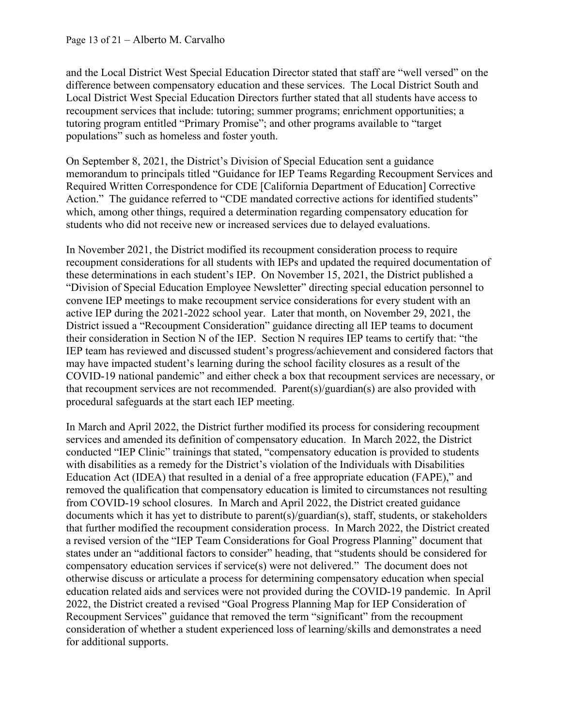and the Local District West Special Education Director stated that staff are "well versed" on the difference between compensatory education and these services. The Local District South and Local District West Special Education Directors further stated that all students have access to recoupment services that include: tutoring; summer programs; enrichment opportunities; a tutoring program entitled "Primary Promise"; and other programs available to "target populations" such as homeless and foster youth.

On September 8, 2021, the District's Division of Special Education sent a guidance memorandum to principals titled "Guidance for IEP Teams Regarding Recoupment Services and Required Written Correspondence for CDE [California Department of Education] Corrective Action." The guidance referred to "CDE mandated corrective actions for identified students" which, among other things, required a determination regarding compensatory education for students who did not receive new or increased services due to delayed evaluations.

In November 2021, the District modified its recoupment consideration process to require recoupment considerations for all students with IEPs and updated the required documentation of these determinations in each student's IEP. On November 15, 2021, the District published a "Division of Special Education Employee Newsletter" directing special education personnel to convene IEP meetings to make recoupment service considerations for every student with an active IEP during the 2021-2022 school year. Later that month, on November 29, 2021, the District issued a "Recoupment Consideration" guidance directing all IEP teams to document their consideration in Section N of the IEP. Section N requires IEP teams to certify that: "the IEP team has reviewed and discussed student's progress/achievement and considered factors that may have impacted student's learning during the school facility closures as a result of the COVID-19 national pandemic" and either check a box that recoupment services are necessary, or that recoupment services are not recommended. Parent(s)/guardian(s) are also provided with procedural safeguards at the start each IEP meeting.

In March and April 2022, the District further modified its process for considering recoupment services and amended its definition of compensatory education. In March 2022, the District conducted "IEP Clinic" trainings that stated, "compensatory education is provided to students with disabilities as a remedy for the District's violation of the Individuals with Disabilities Education Act (IDEA) that resulted in a denial of a free appropriate education (FAPE)," and removed the qualification that compensatory education is limited to circumstances not resulting from COVID-19 school closures. In March and April 2022, the District created guidance documents which it has yet to distribute to parent(s)/guardian(s), staff, students, or stakeholders that further modified the recoupment consideration process. In March 2022, the District created a revised version of the "IEP Team Considerations for Goal Progress Planning" document that states under an "additional factors to consider" heading, that "students should be considered for compensatory education services if service(s) were not delivered." The document does not otherwise discuss or articulate a process for determining compensatory education when special education related aids and services were not provided during the COVID-19 pandemic. In April 2022, the District created a revised "Goal Progress Planning Map for IEP Consideration of Recoupment Services" guidance that removed the term "significant" from the recoupment consideration of whether a student experienced loss of learning/skills and demonstrates a need for additional supports.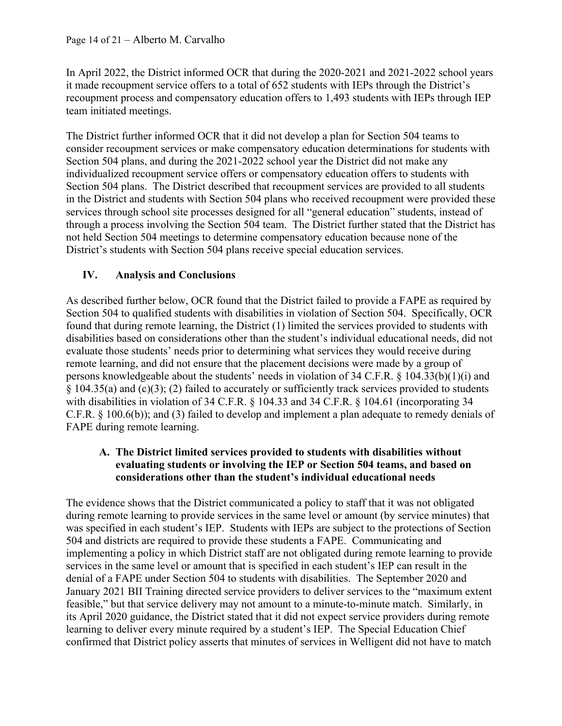In April 2022, the District informed OCR that during the 2020-2021 and 2021-2022 school years it made recoupment service offers to a total of 652 students with IEPs through the District's recoupment process and compensatory education offers to 1,493 students with IEPs through IEP team initiated meetings.

The District further informed OCR that it did not develop a plan for Section 504 teams to consider recoupment services or make compensatory education determinations for students with Section 504 plans, and during the 2021-2022 school year the District did not make any individualized recoupment service offers or compensatory education offers to students with Section 504 plans. The District described that recoupment services are provided to all students in the District and students with Section 504 plans who received recoupment were provided these services through school site processes designed for all "general education" students, instead of through a process involving the Section 504 team. The District further stated that the District has not held Section 504 meetings to determine compensatory education because none of the District's students with Section 504 plans receive special education services.

## **IV. Analysis and Conclusions**

As described further below, OCR found that the District failed to provide a FAPE as required by Section 504 to qualified students with disabilities in violation of Section 504. Specifically, OCR found that during remote learning, the District (1) limited the services provided to students with disabilities based on considerations other than the student's individual educational needs, did not evaluate those students' needs prior to determining what services they would receive during remote learning, and did not ensure that the placement decisions were made by a group of persons knowledgeable about the students' needs in violation of 34 C.F.R. § 104.33(b)(1)(i) and § 104.35(a) and (c)(3); (2) failed to accurately or sufficiently track services provided to students with disabilities in violation of 34 C.F.R. § 104.33 and 34 C.F.R. § 104.61 (incorporating 34 C.F.R. § 100.6(b)); and (3) failed to develop and implement a plan adequate to remedy denials of FAPE during remote learning.

### **A. The District limited services provided to students with disabilities without evaluating students or involving the IEP or Section 504 teams, and based on considerations other than the student's individual educational needs**

The evidence shows that the District communicated a policy to staff that it was not obligated during remote learning to provide services in the same level or amount (by service minutes) that was specified in each student's IEP. Students with IEPs are subject to the protections of Section 504 and districts are required to provide these students a FAPE. Communicating and implementing a policy in which District staff are not obligated during remote learning to provide services in the same level or amount that is specified in each student's IEP can result in the denial of a FAPE under Section 504 to students with disabilities. The September 2020 and January 2021 BII Training directed service providers to deliver services to the "maximum extent feasible," but that service delivery may not amount to a minute-to-minute match. Similarly, in its April 2020 guidance, the District stated that it did not expect service providers during remote learning to deliver every minute required by a student's IEP. The Special Education Chief confirmed that District policy asserts that minutes of services in Welligent did not have to match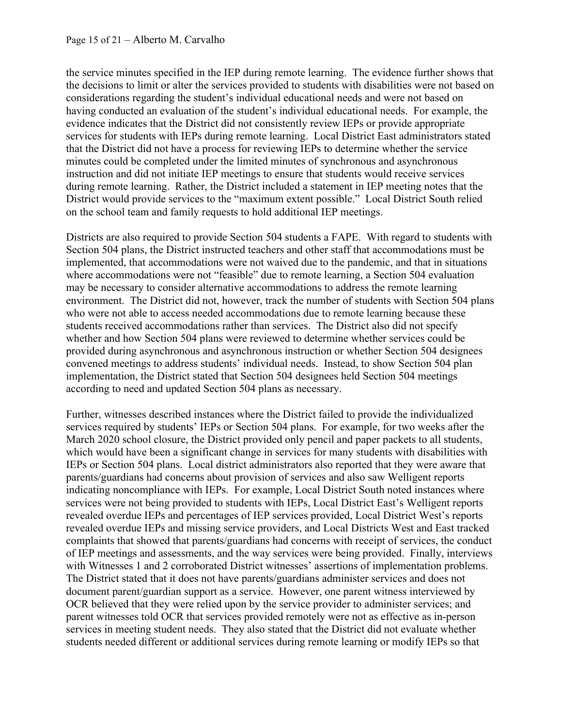the service minutes specified in the IEP during remote learning. The evidence further shows that the decisions to limit or alter the services provided to students with disabilities were not based on considerations regarding the student's individual educational needs and were not based on having conducted an evaluation of the student's individual educational needs. For example, the evidence indicates that the District did not consistently review IEPs or provide appropriate services for students with IEPs during remote learning. Local District East administrators stated that the District did not have a process for reviewing IEPs to determine whether the service minutes could be completed under the limited minutes of synchronous and asynchronous instruction and did not initiate IEP meetings to ensure that students would receive services during remote learning. Rather, the District included a statement in IEP meeting notes that the District would provide services to the "maximum extent possible." Local District South relied on the school team and family requests to hold additional IEP meetings.

Districts are also required to provide Section 504 students a FAPE. With regard to students with Section 504 plans, the District instructed teachers and other staff that accommodations must be implemented, that accommodations were not waived due to the pandemic, and that in situations where accommodations were not "feasible" due to remote learning, a Section 504 evaluation may be necessary to consider alternative accommodations to address the remote learning environment. The District did not, however, track the number of students with Section 504 plans who were not able to access needed accommodations due to remote learning because these students received accommodations rather than services. The District also did not specify whether and how Section 504 plans were reviewed to determine whether services could be provided during asynchronous and asynchronous instruction or whether Section 504 designees convened meetings to address students' individual needs. Instead, to show Section 504 plan implementation, the District stated that Section 504 designees held Section 504 meetings according to need and updated Section 504 plans as necessary.

Further, witnesses described instances where the District failed to provide the individualized services required by students' IEPs or Section 504 plans. For example, for two weeks after the March 2020 school closure, the District provided only pencil and paper packets to all students, which would have been a significant change in services for many students with disabilities with IEPs or Section 504 plans. Local district administrators also reported that they were aware that parents/guardians had concerns about provision of services and also saw Welligent reports indicating noncompliance with IEPs. For example, Local District South noted instances where services were not being provided to students with IEPs, Local District East's Welligent reports revealed overdue IEPs and percentages of IEP services provided, Local District West's reports revealed overdue IEPs and missing service providers, and Local Districts West and East tracked complaints that showed that parents/guardians had concerns with receipt of services, the conduct of IEP meetings and assessments, and the way services were being provided. Finally, interviews with Witnesses 1 and 2 corroborated District witnesses' assertions of implementation problems. The District stated that it does not have parents/guardians administer services and does not document parent/guardian support as a service. However, one parent witness interviewed by OCR believed that they were relied upon by the service provider to administer services; and parent witnesses told OCR that services provided remotely were not as effective as in-person services in meeting student needs. They also stated that the District did not evaluate whether students needed different or additional services during remote learning or modify IEPs so that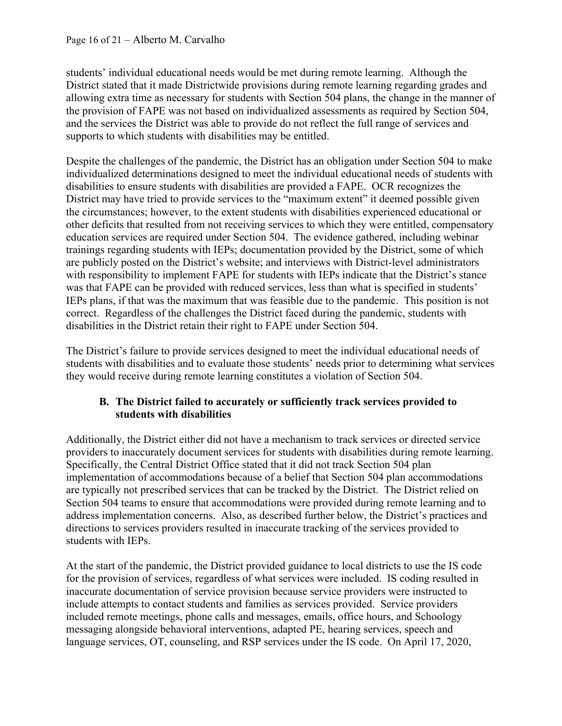students' individual educational needs would be met during remote learning. Although the District stated that it made Districtwide provisions during remote learning regarding grades and allowing extra time as necessary for students with Section 504 plans, the change in the manner of the provision of FAPE was not based on individualized assessments as required by Section 504, and the services the District was able to provide do not reflect the full range of services and supports to which students with disabilities may be entitled.

Despite the challenges of the pandemic, the District has an obligation under Section 504 to make individualized determinations designed to meet the individual educational needs of students with disabilities to ensure students with disabilities are provided a FAPE. OCR recognizes the District may have tried to provide services to the "maximum extent" it deemed possible given the circumstances; however, to the extent students with disabilities experienced educational or other deficits that resulted from not receiving services to which they were entitled, compensatory education services are required under Section 504. The evidence gathered, including webinar trainings regarding students with IEPs; documentation provided by the District, some of which are publicly posted on the District's website; and interviews with District-level administrators with responsibility to implement FAPE for students with IEPs indicate that the District's stance was that FAPE can be provided with reduced services, less than what is specified in students' IEPs plans, if that was the maximum that was feasible due to the pandemic. This position is not correct. Regardless of the challenges the District faced during the pandemic, students with disabilities in the District retain their right to FAPE under Section 504.

The District's failure to provide services designed to meet the individual educational needs of students with disabilities and to evaluate those students' needs prior to determining what services they would receive during remote learning constitutes a violation of Section 504.

## **B. The District failed to accurately or sufficiently track services provided to students with disabilities**

Additionally, the District either did not have a mechanism to track services or directed service providers to inaccurately document services for students with disabilities during remote learning. Specifically, the Central District Office stated that it did not track Section 504 plan implementation of accommodations because of a belief that Section 504 plan accommodations are typically not prescribed services that can be tracked by the District. The District relied on Section 504 teams to ensure that accommodations were provided during remote learning and to address implementation concerns. Also, as described further below, the District's practices and directions to services providers resulted in inaccurate tracking of the services provided to students with IEPs.

At the start of the pandemic, the District provided guidance to local districts to use the IS code for the provision of services, regardless of what services were included. IS coding resulted in inaccurate documentation of service provision because service providers were instructed to include attempts to contact students and families as services provided. Service providers included remote meetings, phone calls and messages, emails, office hours, and Schoology messaging alongside behavioral interventions, adapted PE, hearing services, speech and language services, OT, counseling, and RSP services under the IS code. On April 17, 2020,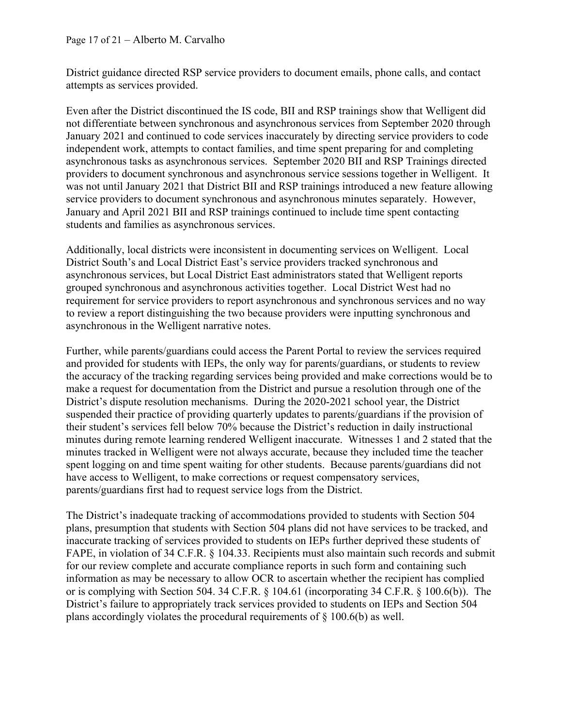#### Page 17 of 21 – Alberto M. Carvalho

District guidance directed RSP service providers to document emails, phone calls, and contact attempts as services provided.

Even after the District discontinued the IS code, BII and RSP trainings show that Welligent did not differentiate between synchronous and asynchronous services from September 2020 through January 2021 and continued to code services inaccurately by directing service providers to code independent work, attempts to contact families, and time spent preparing for and completing asynchronous tasks as asynchronous services. September 2020 BII and RSP Trainings directed providers to document synchronous and asynchronous service sessions together in Welligent. It was not until January 2021 that District BII and RSP trainings introduced a new feature allowing service providers to document synchronous and asynchronous minutes separately. However, January and April 2021 BII and RSP trainings continued to include time spent contacting students and families as asynchronous services.

Additionally, local districts were inconsistent in documenting services on Welligent. Local District South's and Local District East's service providers tracked synchronous and asynchronous services, but Local District East administrators stated that Welligent reports grouped synchronous and asynchronous activities together. Local District West had no requirement for service providers to report asynchronous and synchronous services and no way to review a report distinguishing the two because providers were inputting synchronous and asynchronous in the Welligent narrative notes.

Further, while parents/guardians could access the Parent Portal to review the services required and provided for students with IEPs, the only way for parents/guardians, or students to review the accuracy of the tracking regarding services being provided and make corrections would be to make a request for documentation from the District and pursue a resolution through one of the District's dispute resolution mechanisms. During the 2020-2021 school year, the District suspended their practice of providing quarterly updates to parents/guardians if the provision of their student's services fell below 70% because the District's reduction in daily instructional minutes during remote learning rendered Welligent inaccurate. Witnesses 1 and 2 stated that the minutes tracked in Welligent were not always accurate, because they included time the teacher spent logging on and time spent waiting for other students. Because parents/guardians did not have access to Welligent, to make corrections or request compensatory services, parents/guardians first had to request service logs from the District.

The District's inadequate tracking of accommodations provided to students with Section 504 plans, presumption that students with Section 504 plans did not have services to be tracked, and inaccurate tracking of services provided to students on IEPs further deprived these students of FAPE, in violation of 34 C.F.R. § 104.33. Recipients must also maintain such records and submit for our review complete and accurate compliance reports in such form and containing such information as may be necessary to allow OCR to ascertain whether the recipient has complied or is complying with Section 504. 34 C.F.R. § 104.61 (incorporating 34 C.F.R. § 100.6(b)). The District's failure to appropriately track services provided to students on IEPs and Section 504 plans accordingly violates the procedural requirements of § 100.6(b) as well.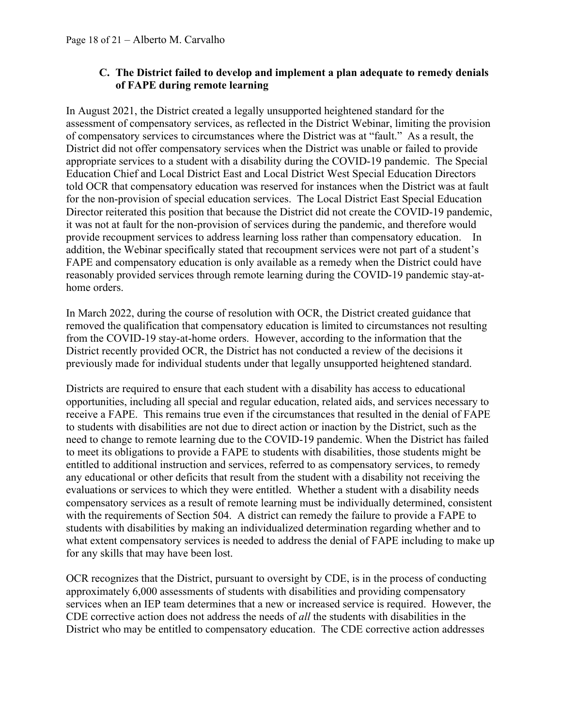### **C. The District failed to develop and implement a plan adequate to remedy denials of FAPE during remote learning**

In August 2021, the District created a legally unsupported heightened standard for the assessment of compensatory services, as reflected in the District Webinar, limiting the provision of compensatory services to circumstances where the District was at "fault." As a result, the District did not offer compensatory services when the District was unable or failed to provide appropriate services to a student with a disability during the COVID-19 pandemic. The Special Education Chief and Local District East and Local District West Special Education Directors told OCR that compensatory education was reserved for instances when the District was at fault for the non-provision of special education services. The Local District East Special Education Director reiterated this position that because the District did not create the COVID-19 pandemic, it was not at fault for the non-provision of services during the pandemic, and therefore would provide recoupment services to address learning loss rather than compensatory education. In addition, the Webinar specifically stated that recoupment services were not part of a student's FAPE and compensatory education is only available as a remedy when the District could have reasonably provided services through remote learning during the COVID-19 pandemic stay-athome orders.

In March 2022, during the course of resolution with OCR, the District created guidance that removed the qualification that compensatory education is limited to circumstances not resulting from the COVID-19 stay-at-home orders. However, according to the information that the District recently provided OCR, the District has not conducted a review of the decisions it previously made for individual students under that legally unsupported heightened standard.

Districts are required to ensure that each student with a disability has access to educational opportunities, including all special and regular education, related aids, and services necessary to receive a FAPE. This remains true even if the circumstances that resulted in the denial of FAPE to students with disabilities are not due to direct action or inaction by the District, such as the need to change to remote learning due to the COVID-19 pandemic. When the District has failed to meet its obligations to provide a FAPE to students with disabilities, those students might be entitled to additional instruction and services, referred to as compensatory services, to remedy any educational or other deficits that result from the student with a disability not receiving the evaluations or services to which they were entitled. Whether a student with a disability needs compensatory services as a result of remote learning must be individually determined, consistent with the requirements of Section 504. A district can remedy the failure to provide a FAPE to students with disabilities by making an individualized determination regarding whether and to what extent compensatory services is needed to address the denial of FAPE including to make up for any skills that may have been lost.

OCR recognizes that the District, pursuant to oversight by CDE, is in the process of conducting approximately 6,000 assessments of students with disabilities and providing compensatory services when an IEP team determines that a new or increased service is required. However, the CDE corrective action does not address the needs of *all* the students with disabilities in the District who may be entitled to compensatory education. The CDE corrective action addresses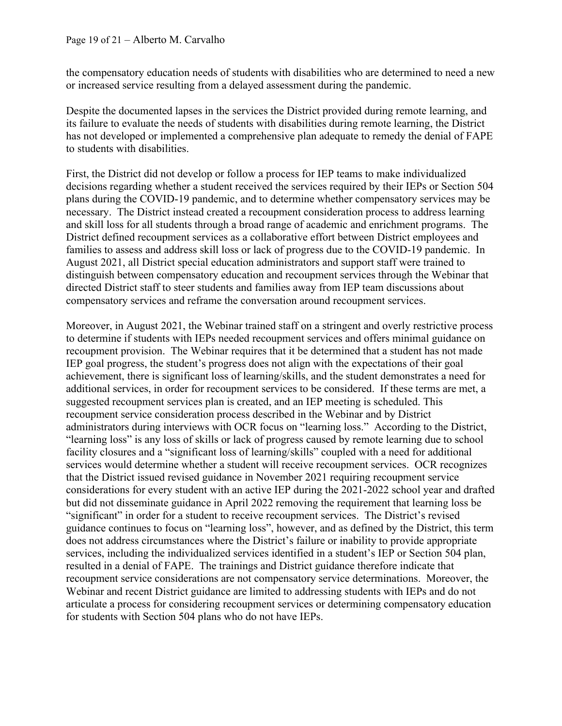the compensatory education needs of students with disabilities who are determined to need a new or increased service resulting from a delayed assessment during the pandemic.

Despite the documented lapses in the services the District provided during remote learning, and its failure to evaluate the needs of students with disabilities during remote learning, the District has not developed or implemented a comprehensive plan adequate to remedy the denial of FAPE to students with disabilities.

First, the District did not develop or follow a process for IEP teams to make individualized decisions regarding whether a student received the services required by their IEPs or Section 504 plans during the COVID-19 pandemic, and to determine whether compensatory services may be necessary. The District instead created a recoupment consideration process to address learning and skill loss for all students through a broad range of academic and enrichment programs. The District defined recoupment services as a collaborative effort between District employees and families to assess and address skill loss or lack of progress due to the COVID-19 pandemic. In August 2021, all District special education administrators and support staff were trained to distinguish between compensatory education and recoupment services through the Webinar that directed District staff to steer students and families away from IEP team discussions about compensatory services and reframe the conversation around recoupment services.

Moreover, in August 2021, the Webinar trained staff on a stringent and overly restrictive process to determine if students with IEPs needed recoupment services and offers minimal guidance on recoupment provision. The Webinar requires that it be determined that a student has not made IEP goal progress, the student's progress does not align with the expectations of their goal achievement, there is significant loss of learning/skills, and the student demonstrates a need for additional services, in order for recoupment services to be considered. If these terms are met, a suggested recoupment services plan is created, and an IEP meeting is scheduled. This recoupment service consideration process described in the Webinar and by District administrators during interviews with OCR focus on "learning loss." According to the District, "learning loss" is any loss of skills or lack of progress caused by remote learning due to school facility closures and a "significant loss of learning/skills" coupled with a need for additional services would determine whether a student will receive recoupment services. OCR recognizes that the District issued revised guidance in November 2021 requiring recoupment service considerations for every student with an active IEP during the 2021-2022 school year and drafted but did not disseminate guidance in April 2022 removing the requirement that learning loss be "significant" in order for a student to receive recoupment services. The District's revised guidance continues to focus on "learning loss", however, and as defined by the District, this term does not address circumstances where the District's failure or inability to provide appropriate services, including the individualized services identified in a student's IEP or Section 504 plan, resulted in a denial of FAPE. The trainings and District guidance therefore indicate that recoupment service considerations are not compensatory service determinations. Moreover, the Webinar and recent District guidance are limited to addressing students with IEPs and do not articulate a process for considering recoupment services or determining compensatory education for students with Section 504 plans who do not have IEPs.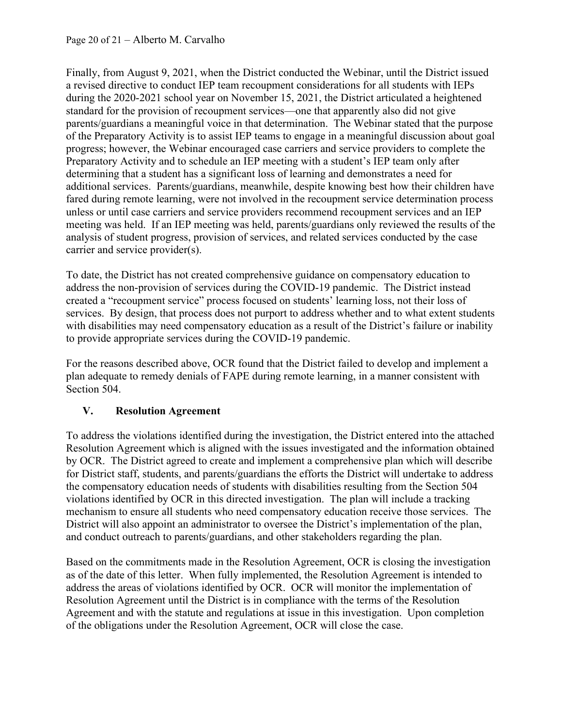Finally, from August 9, 2021, when the District conducted the Webinar, until the District issued a revised directive to conduct IEP team recoupment considerations for all students with IEPs during the 2020-2021 school year on November 15, 2021, the District articulated a heightened standard for the provision of recoupment services—one that apparently also did not give parents/guardians a meaningful voice in that determination. The Webinar stated that the purpose of the Preparatory Activity is to assist IEP teams to engage in a meaningful discussion about goal progress; however, the Webinar encouraged case carriers and service providers to complete the Preparatory Activity and to schedule an IEP meeting with a student's IEP team only after determining that a student has a significant loss of learning and demonstrates a need for additional services. Parents/guardians, meanwhile, despite knowing best how their children have fared during remote learning, were not involved in the recoupment service determination process unless or until case carriers and service providers recommend recoupment services and an IEP meeting was held. If an IEP meeting was held, parents/guardians only reviewed the results of the analysis of student progress, provision of services, and related services conducted by the case carrier and service provider(s).

To date, the District has not created comprehensive guidance on compensatory education to address the non-provision of services during the COVID-19 pandemic. The District instead created a "recoupment service" process focused on students' learning loss, not their loss of services. By design, that process does not purport to address whether and to what extent students with disabilities may need compensatory education as a result of the District's failure or inability to provide appropriate services during the COVID-19 pandemic.

For the reasons described above, OCR found that the District failed to develop and implement a plan adequate to remedy denials of FAPE during remote learning, in a manner consistent with Section 504.

## **V. Resolution Agreement**

To address the violations identified during the investigation, the District entered into the attached Resolution Agreement which is aligned with the issues investigated and the information obtained by OCR. The District agreed to create and implement a comprehensive plan which will describe for District staff, students, and parents/guardians the efforts the District will undertake to address the compensatory education needs of students with disabilities resulting from the Section 504 violations identified by OCR in this directed investigation. The plan will include a tracking mechanism to ensure all students who need compensatory education receive those services. The District will also appoint an administrator to oversee the District's implementation of the plan, and conduct outreach to parents/guardians, and other stakeholders regarding the plan.

Based on the commitments made in the Resolution Agreement, OCR is closing the investigation as of the date of this letter. When fully implemented, the Resolution Agreement is intended to address the areas of violations identified by OCR. OCR will monitor the implementation of Resolution Agreement until the District is in compliance with the terms of the Resolution Agreement and with the statute and regulations at issue in this investigation. Upon completion of the obligations under the Resolution Agreement, OCR will close the case.